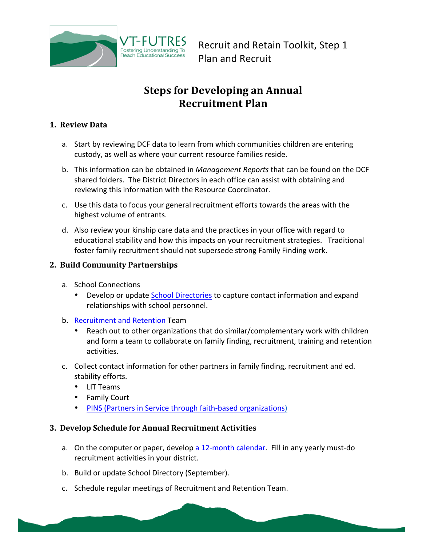

Recruit and Retain Toolkit, Step 1 Plan and Recruit

## **Steps for Developing an Annual Recruitment Plan**

## **1. Review Data**

- a. Start by reviewing DCF data to learn from which communities children are entering custody, as well as where your current resource families reside.
- b. This information can be obtained in *Management Reports* that can be found on the DCF shared folders. The District Directors in each office can assist with obtaining and reviewing this information with the Resource Coordinator.
- c. Use this data to focus your general recruitment efforts towards the areas with the highest volume of entrants.
- d. Also review your kinship care data and the practices in your office with regard to educational stability and how this impacts on your recruitment strategies. Traditional foster family recruitment should not supersede strong Family Finding work.

## **2. Build Community Partnerships**

- a. School Connections
	- Develop or update School Directories to capture contact information and expand relationships with school personnel.
- b. Recruitment and Retention Team
	- Reach out to other organizations that do similar/complementary work with children and form a team to collaborate on family finding, recruitment, training and retention activities.
- c. Collect contact information for other partners in family finding, recruitment and ed. stability efforts.
	- LIT Teams
	- Family Court
	- PINS (Partners in Service through faith-based organizations)

## **3. Develop Schedule for Annual Recruitment Activities**

- a. On the computer or paper, develop a 12-month calendar. Fill in any yearly must-do recruitment activities in your district.
- b. Build or update School Directory (September).
- c. Schedule regular meetings of Recruitment and Retention Team.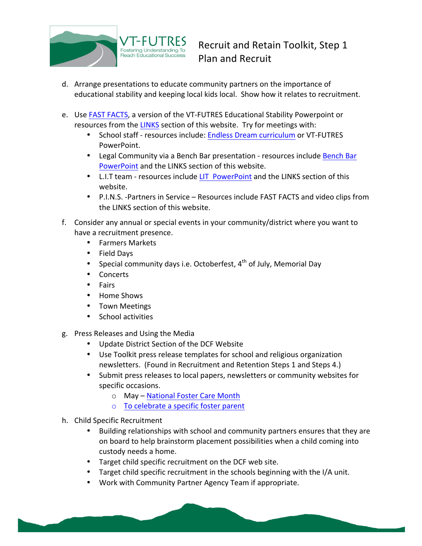

- d. Arrange presentations to educate community partners on the importance of educational stability and keeping local kids local. Show how it relates to recruitment.
- e. Use FAST FACTS, a version of the VT-FUTRES Educational Stability Powerpoint or resources from the LINKS section of this website. Try for meetings with:
	- School staff resources include: Endless Dream curriculum or VT-FUTRES PowerPoint.
	- Legal Community via a Bench Bar presentation resources include Bench Bar PowerPoint and the LINKS section of this website.
	- L.I.T team resources include LIT PowerPoint and the LINKS section of this website.
	- P.I.N.S. -Partners in Service Resources include FAST FACTS and video clips from the LINKS section of this website.
- f. Consider any annual or special events in your community/district where you want to have a recruitment presence.
	- Farmers Markets
	- Field Days
	- Special community days i.e. Octoberfest,  $4^{th}$  of July, Memorial Day
	- Concerts
	- Fairs
	- Home Shows
	- Town Meetings
	- School activities
- g. Press Releases and Using the Media
	- Update District Section of the DCF Website
	- Use Toolkit press release templates for school and religious organization newsletters. (Found in Recruitment and Retention Steps 1 and Steps 4.)
	- Submit press releases to local papers, newsletters or community websites for specific occasions.
		- o May National Foster Care Month
		- $\circ$  To celebrate a specific foster parent
- h. Child Specific Recruitment
	- Building relationships with school and community partners ensures that they are on board to help brainstorm placement possibilities when a child coming into custody needs a home.
	- Target child specific recruitment on the DCF web site.
	- Target child specific recruitment in the schools beginning with the I/A unit.
	- Work with Community Partner Agency Team if appropriate.